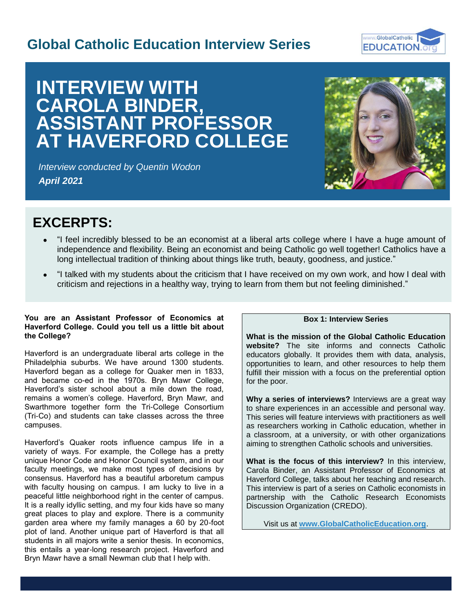# **Global Catholic Education Interview Series**



# **INTERVIEW WITH CAROLA BINDER, ASSISTANT PROFESSOR AT HAVERFORD COLLEGE**

*Interview conducted by Quentin Wodon April 2021*



# **EXCERPTS:**

- "I feel incredibly blessed to be an economist at a liberal arts college where I have a huge amount of independence and flexibility. Being an economist and being Catholic go well together! Catholics have a long intellectual tradition of thinking about things like truth, beauty, goodness, and justice."
- "I talked with my students about the criticism that I have received on my own work, and how I deal with criticism and rejections in a healthy way, trying to learn from them but not feeling diminished."

# **You are an Assistant Professor of Economics at Haverford College. Could you tell us a little bit about the College?**

Haverford is an undergraduate liberal arts college in the Philadelphia suburbs. We have around 1300 students. Haverford began as a college for Quaker men in 1833, and became co-ed in the 1970s. Bryn Mawr College, Haverford's sister school about a mile down the road, remains a women's college. Haverford, Bryn Mawr, and Swarthmore together form the Tri-College Consortium (Tri-Co) and students can take classes across the three campuses.

Haverford's Quaker roots influence campus life in a variety of ways. For example, the College has a pretty unique Honor Code and Honor Council system, and in our faculty meetings, we make most types of decisions by consensus. Haverford has a beautiful arboretum campus with faculty housing on campus. I am lucky to live in a peaceful little neighborhood right in the center of campus. It is a really idyllic setting, and my four kids have so many great places to play and explore. There is a community garden area where my family manages a 60 by 20-foot plot of land. Another unique part of Haverford is that all students in all majors write a senior thesis. In economics, this entails a year-long research project. Haverford and Bryn Mawr have a small Newman club that I help with.

# **Box 1: Interview Series**

**What is the mission of the Global Catholic Education website?** The site informs and connects Catholic educators globally. It provides them with data, analysis, opportunities to learn, and other resources to help them fulfill their mission with a focus on the preferential option for the poor.

**Why a series of interviews?** Interviews are a great way to share experiences in an accessible and personal way. This series will feature interviews with practitioners as well as researchers working in Catholic education, whether in a classroom, at a university, or with other organizations aiming to strengthen Catholic schools and universities.

**What is the focus of this interview?** In this interview, Carola Binder, an Assistant Professor of Economics at Haverford College, talks about her teaching and research. This interview is part of a series on Catholic economists in partnership with the Catholic Research Economists Discussion Organization (CREDO).

Visit us at **[www.GlobalCatholicEducation.org](http://www.globalcatholiceducation.org/)**.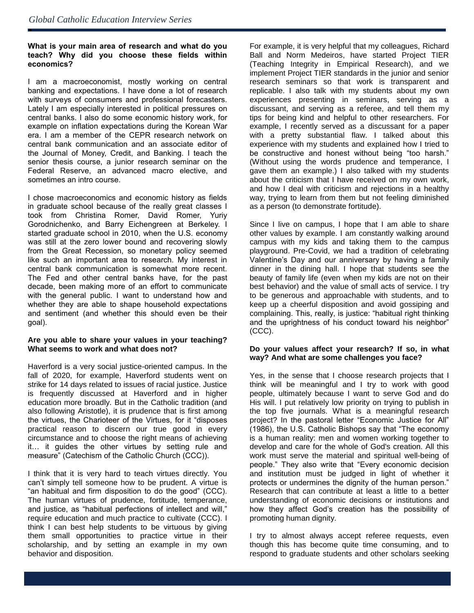ė

## **What is your main area of research and what do you teach? Why did you choose these fields within economics?**

I am a macroeconomist, mostly working on central banking and expectations. I have done a lot of research with surveys of consumers and professional forecasters. Lately I am especially interested in political pressures on central banks. I also do some economic history work, for example on inflation expectations during the Korean War era. I am a member of the CEPR research network on central bank communication and an associate editor of the Journal of Money, Credit, and Banking. I teach the senior thesis course, a junior research seminar on the Federal Reserve, an advanced macro elective, and sometimes an intro course.

I chose macroeconomics and economic history as fields in graduate school because of the really great classes I took from Christina Romer, David Romer, Yuriy Gorodnichenko, and Barry Eichengreen at Berkeley. I started graduate school in 2010, when the U.S. economy was still at the zero lower bound and recovering slowly from the Great Recession, so monetary policy seemed like such an important area to research. My interest in central bank communication is somewhat more recent. The Fed and other central banks have, for the past decade, been making more of an effort to communicate with the general public. I want to understand how and whether they are able to shape household expectations and sentiment (and whether this should even be their goal).

# **Are you able to share your values in your teaching? What seems to work and what does not?**

Haverford is a very social justice-oriented campus. In the fall of 2020, for example, Haverford students went on strike for 14 days related to issues of racial justice. Justice is frequently discussed at Haverford and in higher education more broadly. But in the Catholic tradition (and also following Aristotle), it is prudence that is first among the virtues, the Charioteer of the Virtues, for it "disposes practical reason to discern our true good in every circumstance and to choose the right means of achieving it… it guides the other virtues by setting rule and measure" (Catechism of the Catholic Church (CCC)).

I think that it is very hard to teach virtues directly. You can't simply tell someone how to be prudent. A virtue is "an habitual and firm disposition to do the good" (CCC). The human virtues of prudence, fortitude, temperance, and justice, as "habitual perfections of intellect and will," require education and much practice to cultivate (CCC). I think I can best help students to be virtuous by giving them small opportunities to practice virtue in their scholarship, and by setting an example in my own behavior and disposition.

For example, it is very helpful that my colleagues, Richard Ball and Norm Medeiros, have started Project TIER (Teaching Integrity in Empirical Research), and we implement Project TIER standards in the junior and senior research seminars so that work is transparent and replicable. I also talk with my students about my own experiences presenting in seminars, serving as a discussant, and serving as a referee, and tell them my tips for being kind and helpful to other researchers. For example, I recently served as a discussant for a paper with a pretty substantial flaw. I talked about this experience with my students and explained how I tried to be constructive and honest without being "too harsh." (Without using the words prudence and temperance, I gave them an example.) I also talked with my students about the criticism that I have received on my own work, and how I deal with criticism and rejections in a healthy way, trying to learn from them but not feeling diminished as a person (to demonstrate fortitude).

Since I live on campus, I hope that I am able to share other values by example. I am constantly walking around campus with my kids and taking them to the campus playground. Pre-Covid, we had a tradition of celebrating Valentine's Day and our anniversary by having a family dinner in the dining hall. I hope that students see the beauty of family life (even when my kids are not on their best behavior) and the value of small acts of service. I try to be generous and approachable with students, and to keep up a cheerful disposition and avoid gossiping and complaining. This, really, is justice: "habitual right thinking and the uprightness of his conduct toward his neighbor" (CCC).

### **Do your values affect your research? If so, in what way? And what are some challenges you face?**

Yes, in the sense that I choose research projects that I think will be meaningful and I try to work with good people, ultimately because I want to serve God and do His will. I put relatively low priority on trying to publish in the top five journals. What is a meaningful research project? In the pastoral letter "Economic Justice for All" (1986), the U.S. Catholic Bishops say that "The economy is a human reality: men and women working together to develop and care for the whole of God's creation. All this work must serve the material and spiritual well-being of people." They also write that "Every economic decision and institution must be judged in light of whether it protects or undermines the dignity of the human person." Research that can contribute at least a little to a better understanding of economic decisions or institutions and how they affect God's creation has the possibility of promoting human dignity.

I try to almost always accept referee requests, even though this has become quite time consuming, and to respond to graduate students and other scholars seeking